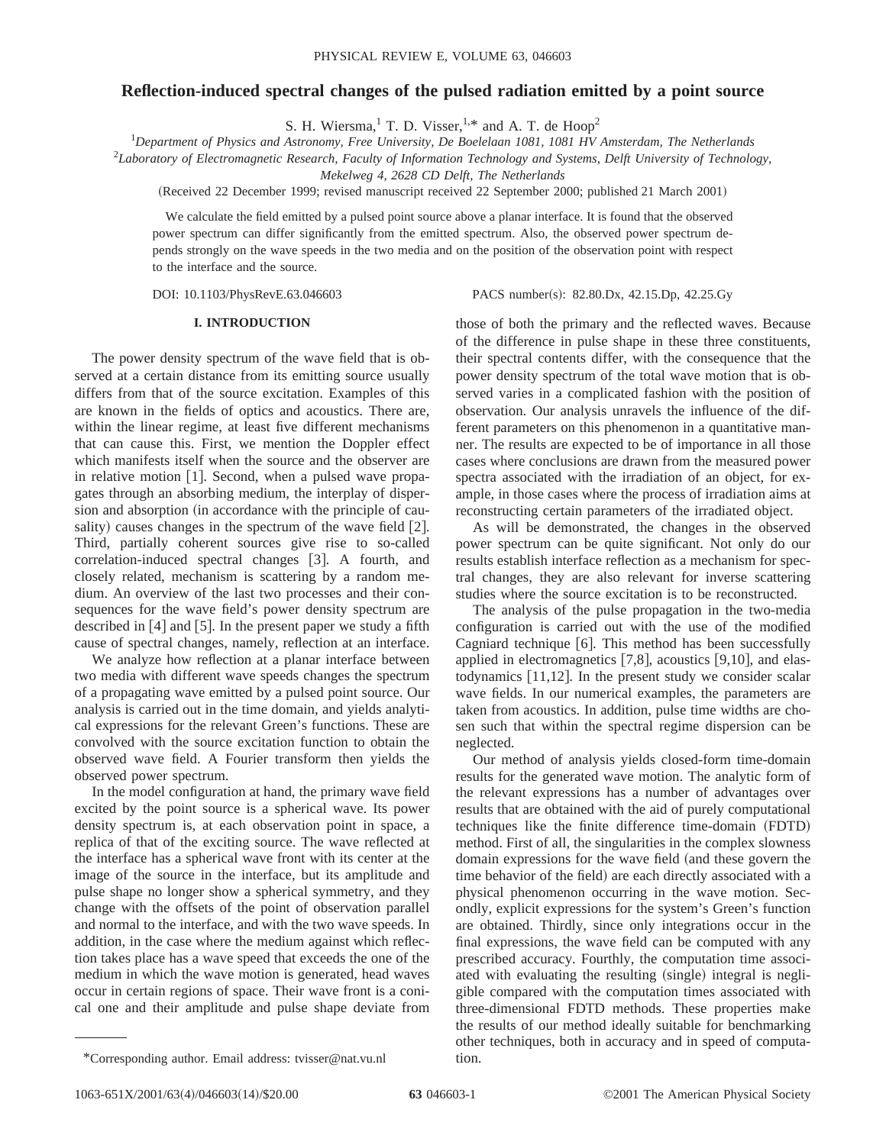# **Reflection-induced spectral changes of the pulsed radiation emitted by a point source**

S. H. Wiersma,  $^1$  T. D. Visser,  $^{1,*}$  and A. T. de Hoop<sup>2</sup>

1 *Department of Physics and Astronomy, Free University, De Boelelaan 1081, 1081 HV Amsterdam, The Netherlands*

2 *Laboratory of Electromagnetic Research, Faculty of Information Technology and Systems, Delft University of Technology,*

*Mekelweg 4, 2628 CD Delft, The Netherlands*

(Received 22 December 1999; revised manuscript received 22 September 2000; published 21 March 2001)

We calculate the field emitted by a pulsed point source above a planar interface. It is found that the observed power spectrum can differ significantly from the emitted spectrum. Also, the observed power spectrum depends strongly on the wave speeds in the two media and on the position of the observation point with respect to the interface and the source.

DOI: 10.1103/PhysRevE.63.046603 PACS number(s): 82.80.Dx, 42.15.Dp, 42.25.Gy

#### **I. INTRODUCTION**

The power density spectrum of the wave field that is observed at a certain distance from its emitting source usually differs from that of the source excitation. Examples of this are known in the fields of optics and acoustics. There are, within the linear regime, at least five different mechanisms that can cause this. First, we mention the Doppler effect which manifests itself when the source and the observer are in relative motion  $[1]$ . Second, when a pulsed wave propagates through an absorbing medium, the interplay of dispersion and absorption (in accordance with the principle of causality) causes changes in the spectrum of the wave field  $[2]$ . Third, partially coherent sources give rise to so-called correlation-induced spectral changes  $\lceil 3 \rceil$ . A fourth, and closely related, mechanism is scattering by a random medium. An overview of the last two processes and their consequences for the wave field's power density spectrum are described in  $[4]$  and  $[5]$ . In the present paper we study a fifth cause of spectral changes, namely, reflection at an interface.

We analyze how reflection at a planar interface between two media with different wave speeds changes the spectrum of a propagating wave emitted by a pulsed point source. Our analysis is carried out in the time domain, and yields analytical expressions for the relevant Green's functions. These are convolved with the source excitation function to obtain the observed wave field. A Fourier transform then yields the observed power spectrum.

In the model configuration at hand, the primary wave field excited by the point source is a spherical wave. Its power density spectrum is, at each observation point in space, a replica of that of the exciting source. The wave reflected at the interface has a spherical wave front with its center at the image of the source in the interface, but its amplitude and pulse shape no longer show a spherical symmetry, and they change with the offsets of the point of observation parallel and normal to the interface, and with the two wave speeds. In addition, in the case where the medium against which reflection takes place has a wave speed that exceeds the one of the medium in which the wave motion is generated, head waves occur in certain regions of space. Their wave front is a conical one and their amplitude and pulse shape deviate from

those of both the primary and the reflected waves. Because of the difference in pulse shape in these three constituents, their spectral contents differ, with the consequence that the power density spectrum of the total wave motion that is observed varies in a complicated fashion with the position of observation. Our analysis unravels the influence of the different parameters on this phenomenon in a quantitative manner. The results are expected to be of importance in all those cases where conclusions are drawn from the measured power spectra associated with the irradiation of an object, for example, in those cases where the process of irradiation aims at reconstructing certain parameters of the irradiated object.

As will be demonstrated, the changes in the observed power spectrum can be quite significant. Not only do our results establish interface reflection as a mechanism for spectral changes, they are also relevant for inverse scattering studies where the source excitation is to be reconstructed.

The analysis of the pulse propagation in the two-media configuration is carried out with the use of the modified Cagniard technique  $[6]$ . This method has been successfully applied in electromagnetics  $[7,8]$ , acoustics  $[9,10]$ , and elastodynamics  $[11,12]$ . In the present study we consider scalar wave fields. In our numerical examples, the parameters are taken from acoustics. In addition, pulse time widths are chosen such that within the spectral regime dispersion can be neglected.

Our method of analysis yields closed-form time-domain results for the generated wave motion. The analytic form of the relevant expressions has a number of advantages over results that are obtained with the aid of purely computational techniques like the finite difference time-domain (FDTD) method. First of all, the singularities in the complex slowness domain expressions for the wave field (and these govern the time behavior of the field) are each directly associated with a physical phenomenon occurring in the wave motion. Secondly, explicit expressions for the system's Green's function are obtained. Thirdly, since only integrations occur in the final expressions, the wave field can be computed with any prescribed accuracy. Fourthly, the computation time associated with evaluating the resulting (single) integral is negligible compared with the computation times associated with three-dimensional FDTD methods. These properties make the results of our method ideally suitable for benchmarking other techniques, both in accuracy and in speed of computa-

<sup>\*</sup>Corresponding author. Email address: tvisser@nat.vu.nl tion.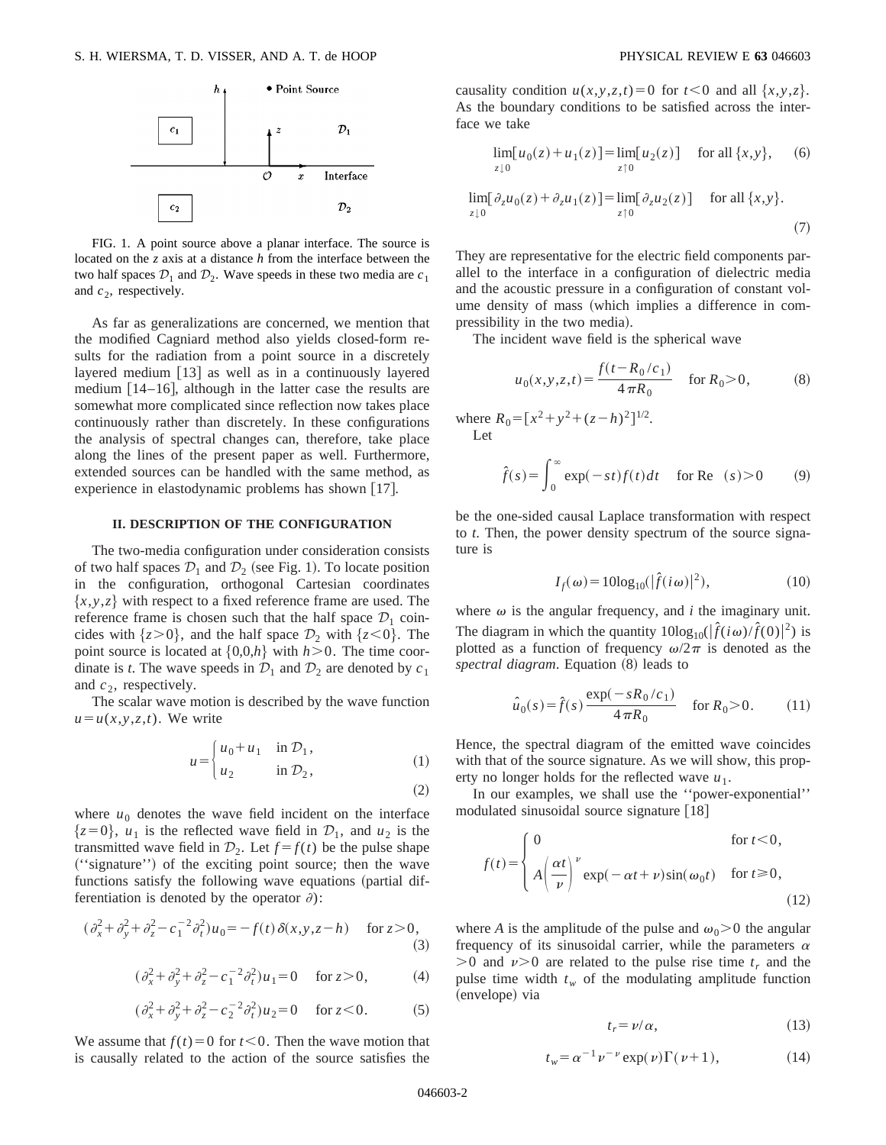

FIG. 1. A point source above a planar interface. The source is located on the *z* axis at a distance *h* from the interface between the two half spaces  $\mathcal{D}_1$  and  $\mathcal{D}_2$ . Wave speeds in these two media are  $c_1$ and  $c_2$ , respectively.

As far as generalizations are concerned, we mention that the modified Cagniard method also yields closed-form results for the radiation from a point source in a discretely layered medium  $[13]$  as well as in a continuously layered medium  $[14–16]$ , although in the latter case the results are somewhat more complicated since reflection now takes place continuously rather than discretely. In these configurations the analysis of spectral changes can, therefore, take place along the lines of the present paper as well. Furthermore, extended sources can be handled with the same method, as experience in elastodynamic problems has shown  $[17]$ .

# **II. DESCRIPTION OF THE CONFIGURATION**

The two-media configuration under consideration consists of two half spaces  $\mathcal{D}_1$  and  $\mathcal{D}_2$  (see Fig. 1). To locate position in the configuration, orthogonal Cartesian coordinates  ${x, y, z}$  with respect to a fixed reference frame are used. The reference frame is chosen such that the half space  $\mathcal{D}_1$  coincides with  $\{z>0\}$ , and the half space  $\mathcal{D}_2$  with  $\{z<0\}$ . The point source is located at  $\{0,0,h\}$  with  $h > 0$ . The time coordinate is *t*. The wave speeds in  $\mathcal{D}_1$  and  $\mathcal{D}_2$  are denoted by  $c_1$ and  $c_2$ , respectively.

The scalar wave motion is described by the wave function  $u = u(x, y, z, t)$ . We write

$$
u = \begin{cases} u_0 + u_1 & \text{in } \mathcal{D}_1, \\ u_2 & \text{in } \mathcal{D}_2, \end{cases}
$$
 (1)

 $(2)$ 

where  $u_0$  denotes the wave field incident on the interface  $\{z=0\}$ ,  $u_1$  is the reflected wave field in  $\mathcal{D}_1$ , and  $u_2$  is the transmitted wave field in  $\mathcal{D}_2$ . Let  $f = f(t)$  be the pulse shape ("signature") of the exciting point source; then the wave functions satisfy the following wave equations (partial differentiation is denoted by the operator  $\partial$ :

$$
(\partial_x^2 + \partial_y^2 + \partial_z^2 - c_1^{-2} \partial_t^2) u_0 = -f(t) \, \delta(x, y, z - h) \quad \text{for } z > 0,
$$
\n(3)

$$
(\partial_x^2 + \partial_y^2 + \partial_z^2 - c_1^{-2} \partial_t^2) u_1 = 0 \quad \text{for } z > 0,
$$
 (4)

$$
(\partial_x^2 + \partial_y^2 + \partial_z^2 - c_2^{-2} \partial_t^2) u_2 = 0 \quad \text{for } z < 0.
$$
 (5)

We assume that  $f(t)=0$  for  $t<0$ . Then the wave motion that is causally related to the action of the source satisfies the causality condition  $u(x, y, z, t) = 0$  for  $t < 0$  and all  $\{x, y, z\}$ . As the boundary conditions to be satisfied across the interface we take

$$
\lim_{z \downarrow 0} [u_0(z) + u_1(z)] = \lim_{z \uparrow 0} [u_2(z)] \quad \text{for all } \{x, y\}, \quad (6)
$$

$$
\lim_{z \downarrow 0} \left[ \partial_z u_0(z) + \partial_z u_1(z) \right] = \lim_{z \uparrow 0} \left[ \partial_z u_2(z) \right] \quad \text{for all } \{x, y\}. \tag{7}
$$

They are representative for the electric field components parallel to the interface in a configuration of dielectric media and the acoustic pressure in a configuration of constant volume density of mass (which implies a difference in compressibility in the two media).

The incident wave field is the spherical wave

$$
u_0(x, y, z, t) = \frac{f(t - R_0/c_1)}{4 \pi R_0} \quad \text{for } R_0 > 0,
$$
 (8)

where  $R_0 = [x^2 + y^2 + (z - h)^2]^{1/2}$ . Let

$$
\hat{f}(s) = \int_0^\infty \exp(-st)f(t)dt \quad \text{for Re} \quad (s) > 0 \tag{9}
$$

be the one-sided causal Laplace transformation with respect to *t*. Then, the power density spectrum of the source signature is

$$
I_f(\omega) = 10\log_{10}(|\hat{f}(i\omega)|^2),\tag{10}
$$

where  $\omega$  is the angular frequency, and *i* the imaginary unit. The diagram in which the quantity  $10\log_{10}(\left|\hat{f}(i\omega)/\hat{f}(0)\right|^2)$  is plotted as a function of frequency  $\omega/2\pi$  is denoted as the *spectral diagram*. Equation (8) leads to

$$
\hat{u}_0(s) = \hat{f}(s) \frac{\exp(-sR_0/c_1)}{4\pi R_0} \quad \text{for } R_0 > 0. \tag{11}
$$

Hence, the spectral diagram of the emitted wave coincides with that of the source signature. As we will show, this property no longer holds for the reflected wave  $u_1$ .

In our examples, we shall use the ''power-exponential'' modulated sinusoidal source signature  $[18]$ 

$$
f(t) = \begin{cases} 0 & \text{for } t < 0, \\ A\left(\frac{\alpha t}{\nu}\right)^{\nu} \exp(-\alpha t + \nu)\sin(\omega_0 t) & \text{for } t \ge 0, \end{cases}
$$
(12)

where *A* is the amplitude of the pulse and  $\omega_0$  > 0 the angular frequency of its sinusoidal carrier, while the parameters  $\alpha$  $>0$  and  $\nu>0$  are related to the pulse rise time  $t_r$  and the pulse time width  $t_w$  of the modulating amplitude function (envelope) via

$$
t_r = \nu/\alpha,\tag{13}
$$

$$
t_w = \alpha^{-1} \nu^{-\nu} \exp(\nu) \Gamma(\nu + 1), \tag{14}
$$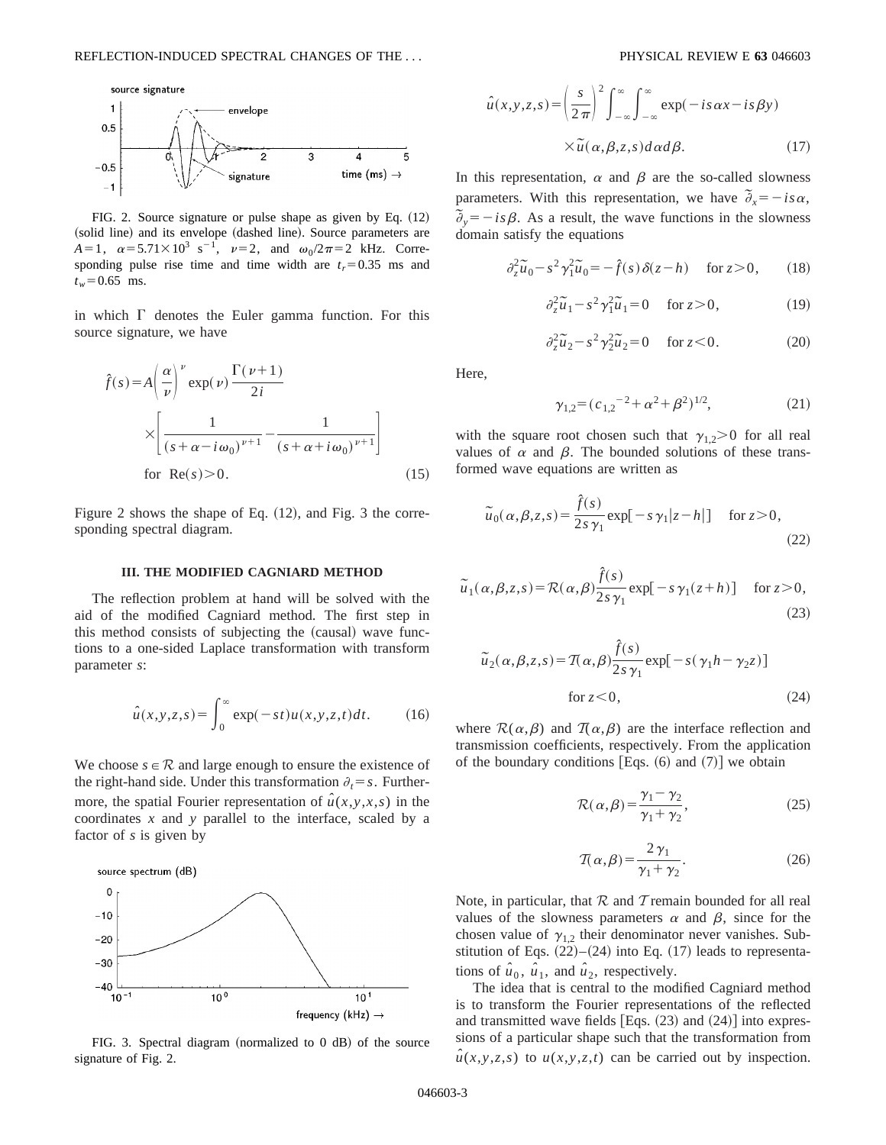

FIG. 2. Source signature or pulse shape as given by Eq.  $(12)$ (solid line) and its envelope (dashed line). Source parameters are  $A=1$ ,  $\alpha = 5.71 \times 10^3$  s<sup>-1</sup>,  $\nu = 2$ , and  $\omega_0/2\pi = 2$  kHz. Corresponding pulse rise time and time width are  $t_r = 0.35$  ms and  $t_w$ =0.65 ms.

in which  $\Gamma$  denotes the Euler gamma function. For this source signature, we have

$$
\hat{f}(s) = A \left(\frac{\alpha}{\nu}\right)^{\nu} \exp(\nu) \frac{\Gamma(\nu+1)}{2i}
$$
\n
$$
\times \left[ \frac{1}{(s + \alpha - i\omega_0)^{\nu+1}} - \frac{1}{(s + \alpha + i\omega_0)^{\nu+1}} \right]
$$
\nfor Re(s) > 0. (15)

Figure 2 shows the shape of Eq.  $(12)$ , and Fig. 3 the corresponding spectral diagram.

#### **III. THE MODIFIED CAGNIARD METHOD**

The reflection problem at hand will be solved with the aid of the modified Cagniard method. The first step in this method consists of subjecting the (causal) wave functions to a one-sided Laplace transformation with transform parameter *s*:

$$
\hat{u}(x,y,z,s) = \int_0^\infty \exp(-st)u(x,y,z,t)dt.
$$
 (16)

We choose  $s \in \mathcal{R}$  and large enough to ensure the existence of the right-hand side. Under this transformation  $\partial_t = s$ . Furthermore, the spatial Fourier representation of  $\hat{u}(x, y, x, s)$  in the coordinates *x* and *y* parallel to the interface, scaled by a factor of *s* is given by



$$
\hat{u}(x, y, z, s) = \left(\frac{s}{2\pi}\right)^2 \int_{-\infty}^{\infty} \int_{-\infty}^{\infty} \exp(-is \alpha x - is \beta y)
$$

$$
\times \tilde{u}(\alpha, \beta, z, s) d\alpha d\beta. \tag{17}
$$

In this representation,  $\alpha$  and  $\beta$  are the so-called slowness parameters. With this representation, we have  $\tilde{\partial}_x = -is\alpha$ ,  $\tilde{\partial}_y = -is\beta$ . As a result, the wave functions in the slowness domain satisfy the equations

$$
\partial_z^2 \widetilde{u}_0 - s^2 \gamma_1^2 \widetilde{u}_0 = -\widehat{f}(s) \,\delta(z - h) \quad \text{for } z > 0,\qquad(18)
$$

$$
\partial_z^2 \widetilde{u}_1 - s^2 \gamma_1^2 \widetilde{u}_1 = 0 \quad \text{for } z > 0,
$$
 (19)

$$
\partial_z^2 \widetilde{u}_2 - s^2 \gamma_2^2 \widetilde{u}_2 = 0 \quad \text{for } z < 0.
$$
 (20)

Here,

$$
\gamma_{1,2} = (c_{1,2}^{-2} + \alpha^2 + \beta^2)^{1/2},\tag{21}
$$

with the square root chosen such that  $\gamma_{1,2}$  for all real values of  $\alpha$  and  $\beta$ . The bounded solutions of these transformed wave equations are written as

$$
\widetilde{u}_0(\alpha, \beta, z, s) = \frac{\widehat{f}(s)}{2s\,\gamma_1} \exp[-s\,\gamma_1|z - h|] \quad \text{for } z > 0,
$$
\n(22)

$$
\widetilde{u}_1(\alpha,\beta,z,s) = \mathcal{R}(\alpha,\beta) \frac{\widehat{f}(s)}{2s\,\gamma_1} \exp[-s\,\gamma_1(z+h)] \quad \text{for } z > 0,\tag{23}
$$

$$
\tilde{u}_2(\alpha, \beta, z, s) = \mathcal{T}(\alpha, \beta) \frac{\hat{f}(s)}{2s\gamma_1} \exp[-s(\gamma_1 h - \gamma_2 z)]
$$
  
for  $z < 0$ , (24)

where  $\mathcal{R}(\alpha,\beta)$  and  $\mathcal{T}(\alpha,\beta)$  are the interface reflection and transmission coefficients, respectively. From the application of the boundary conditions [Eqs.  $(6)$  and  $(7)$ ] we obtain

$$
\mathcal{R}(\alpha,\beta) = \frac{\gamma_1 - \gamma_2}{\gamma_1 + \gamma_2},\tag{25}
$$

$$
\mathcal{T}(\alpha,\beta) = \frac{2\,\gamma_1}{\gamma_1 + \gamma_2}.\tag{26}
$$

Note, in particular, that  $R$  and T remain bounded for all real values of the slowness parameters  $\alpha$  and  $\beta$ , since for the chosen value of  $\gamma_{1,2}$  their denominator never vanishes. Substitution of Eqs.  $(22)–(24)$  into Eq.  $(17)$  leads to representations of  $\hat{u}_0$ ,  $\hat{u}_1$ , and  $\hat{u}_2$ , respectively.

The idea that is central to the modified Cagniard method is to transform the Fourier representations of the reflected and transmitted wave fields  $[Eqs. (23)$  and  $(24)]$  into expressions of a particular shape such that the transformation from  $\hat{u}(x, y, z, s)$  to  $u(x, y, z, t)$  can be carried out by inspection.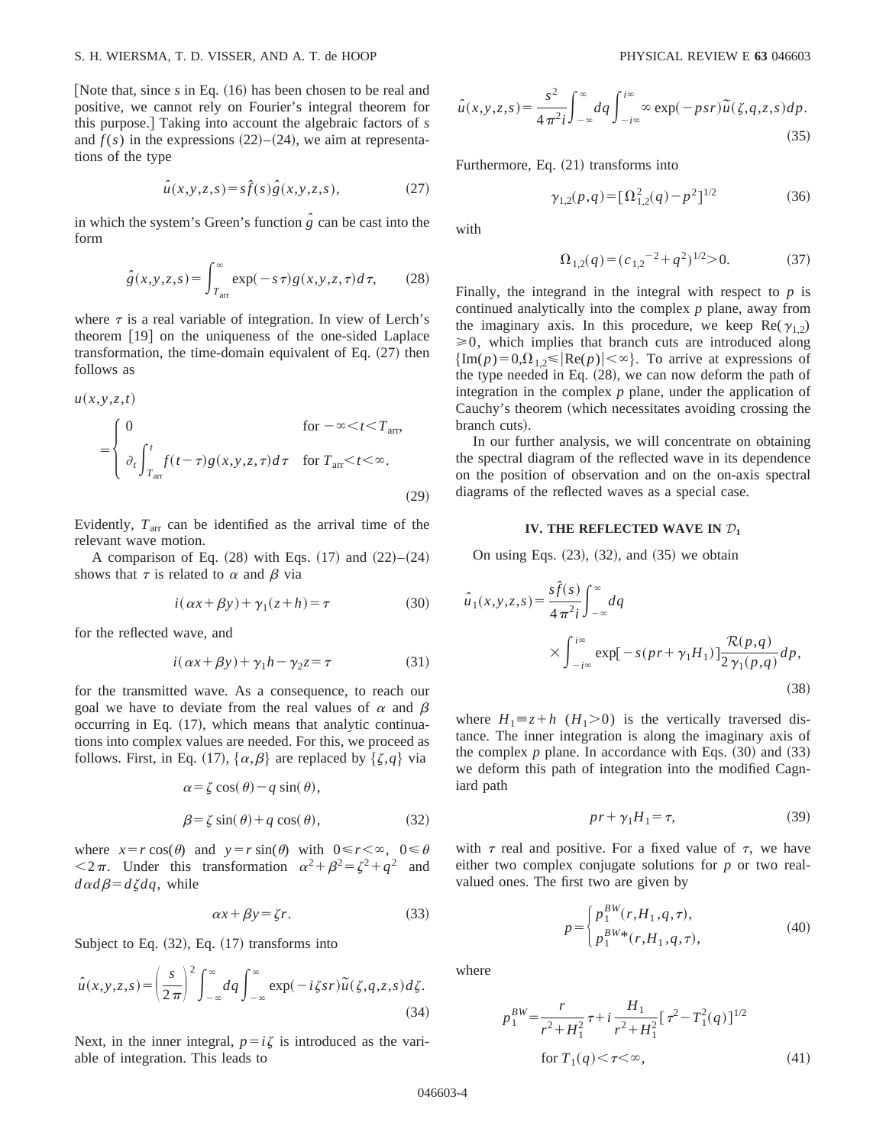Note that, since *s* in Eq. (16) has been chosen to be real and positive, we cannot rely on Fourier's integral theorem for this purpose.] Taking into account the algebraic factors of *s* and  $f(s)$  in the expressions  $(22)$ – $(24)$ , we aim at representations of the type

$$
\hat{u}(x, y, z, s) = s\hat{f}(s)\hat{g}(x, y, z, s),
$$
\n(27)

in which the system's Green's function  $\hat{g}$  can be cast into the form

$$
\hat{g}(x, y, z, s) = \int_{T_{\text{arr}}}^{\infty} \exp(-s\,\tau) g(x, y, z, \tau) d\,\tau,\qquad(28)
$$

where  $\tau$  is a real variable of integration. In view of Lerch's theorem  $[19]$  on the uniqueness of the one-sided Laplace transformation, the time-domain equivalent of Eq.  $(27)$  then follows as

$$
u(x, y, z, t)
$$
  
= 
$$
\begin{cases} 0 & \text{for } -\infty < t < T_{\text{arr}}, \\ \partial_t \int_{T_{\text{arr}}}^t f(t-\tau)g(x, y, z, \tau)d\tau & \text{for } T_{\text{arr}} < t < \infty. \end{cases}
$$
 (29)

Evidently,  $T_{\text{arr}}$  can be identified as the arrival time of the relevant wave motion.

A comparison of Eq.  $(28)$  with Eqs.  $(17)$  and  $(22)–(24)$ shows that  $\tau$  is related to  $\alpha$  and  $\beta$  via

$$
i(\alpha x + \beta y) + \gamma_1(z+h) = \tau \tag{30}
$$

for the reflected wave, and

$$
i(\alpha x + \beta y) + \gamma_1 h - \gamma_2 z = \tau \tag{31}
$$

for the transmitted wave. As a consequence, to reach our goal we have to deviate from the real values of  $\alpha$  and  $\beta$ occurring in Eq.  $(17)$ , which means that analytic continuations into complex values are needed. For this, we proceed as follows. First, in Eq. (17),  $\{\alpha, \beta\}$  are replaced by  $\{\zeta, q\}$  via

$$
\alpha = \zeta \cos(\theta) - q \sin(\theta),
$$
  

$$
\beta = \zeta \sin(\theta) + q \cos(\theta),
$$
 (32)

where  $x = r \cos(\theta)$  and  $y = r \sin(\theta)$  with  $0 \le r < \infty$ ,  $0 \le \theta$  $< 2\pi$ . Under this transformation  $\alpha^2 + \beta^2 = \zeta^2 + q^2$  and  $d \alpha d \beta = d \zeta dq$ , while

$$
\alpha x + \beta y = \zeta r. \tag{33}
$$

Subject to Eq.  $(32)$ , Eq.  $(17)$  transforms into

$$
\hat{u}(x,y,z,s) = \left(\frac{s}{2\pi}\right)^2 \int_{-\infty}^{\infty} dq \int_{-\infty}^{\infty} \exp(-i\zeta sr) \tilde{u}(\zeta,q,z,s) d\zeta.
$$
\n(34)

Next, in the inner integral,  $p=i\zeta$  is introduced as the variable of integration. This leads to

$$
\hat{u}(x,y,z,s) = \frac{s^2}{4\pi^2 i} \int_{-\infty}^{\infty} dq \int_{-i\infty}^{i\infty} \infty \exp(-psr)\tilde{u}(\zeta,q,z,s)dp.
$$
\n(35)

Furthermore, Eq.  $(21)$  transforms into

$$
\gamma_{1,2}(p,q) = [\Omega_{1,2}^2(q) - p^2]^{1/2} \tag{36}
$$

with

$$
\Omega_{1,2}(q) = (c_{1,2}^{\quad -2} + q^2)^{1/2} > 0. \tag{37}
$$

Finally, the integrand in the integral with respect to *p* is continued analytically into the complex *p* plane, away from the imaginary axis. In this procedure, we keep Re( $\gamma_{1,2}$ )  $\geq 0$ , which implies that branch cuts are introduced along  $\{\text{Im}(p)=0,\Omega_{12}\leq |\text{Re}(p)|<\infty\}$ . To arrive at expressions of the type needed in Eq.  $(28)$ , we can now deform the path of integration in the complex *p* plane, under the application of Cauchy's theorem (which necessitates avoiding crossing the branch cuts).

In our further analysis, we will concentrate on obtaining the spectral diagram of the reflected wave in its dependence on the position of observation and on the on-axis spectral diagrams of the reflected waves as a special case.

#### **IV. THE REFLECTED WAVE IN**  $\mathcal{D}_1$

On using Eqs.  $(23)$ ,  $(32)$ , and  $(35)$  we obtain

$$
\hat{u}_1(x, y, z, s) = \frac{s\hat{f}(s)}{4\pi^2 i} \int_{-\infty}^{\infty} dq
$$
\n
$$
\times \int_{-i\infty}^{i\infty} \exp[-s(pr+\gamma_1 H_1)] \frac{\mathcal{R}(p,q)}{2\gamma_1(p,q)} dp,
$$
\n(38)

where  $H_1 \equiv z + h$  ( $H_1 > 0$ ) is the vertically traversed distance. The inner integration is along the imaginary axis of the complex  $p$  plane. In accordance with Eqs.  $(30)$  and  $(33)$ we deform this path of integration into the modified Cagniard path

$$
pr + \gamma_1 H_1 = \tau,\tag{39}
$$

with  $\tau$  real and positive. For a fixed value of  $\tau$ , we have either two complex conjugate solutions for *p* or two realvalued ones. The first two are given by

$$
p = \begin{cases} p_1^{BW}(r, H_1, q, \tau), \\ p_1^{BW*}(r, H_1, q, \tau), \end{cases}
$$
(40)

where

$$
p_1^{BW} = \frac{r}{r^2 + H_1^2} \tau + i \frac{H_1}{r^2 + H_1^2} [\tau^2 - T_1^2(q)]^{1/2}
$$
  
for  $T_1(q) < \tau < \infty$ , (41)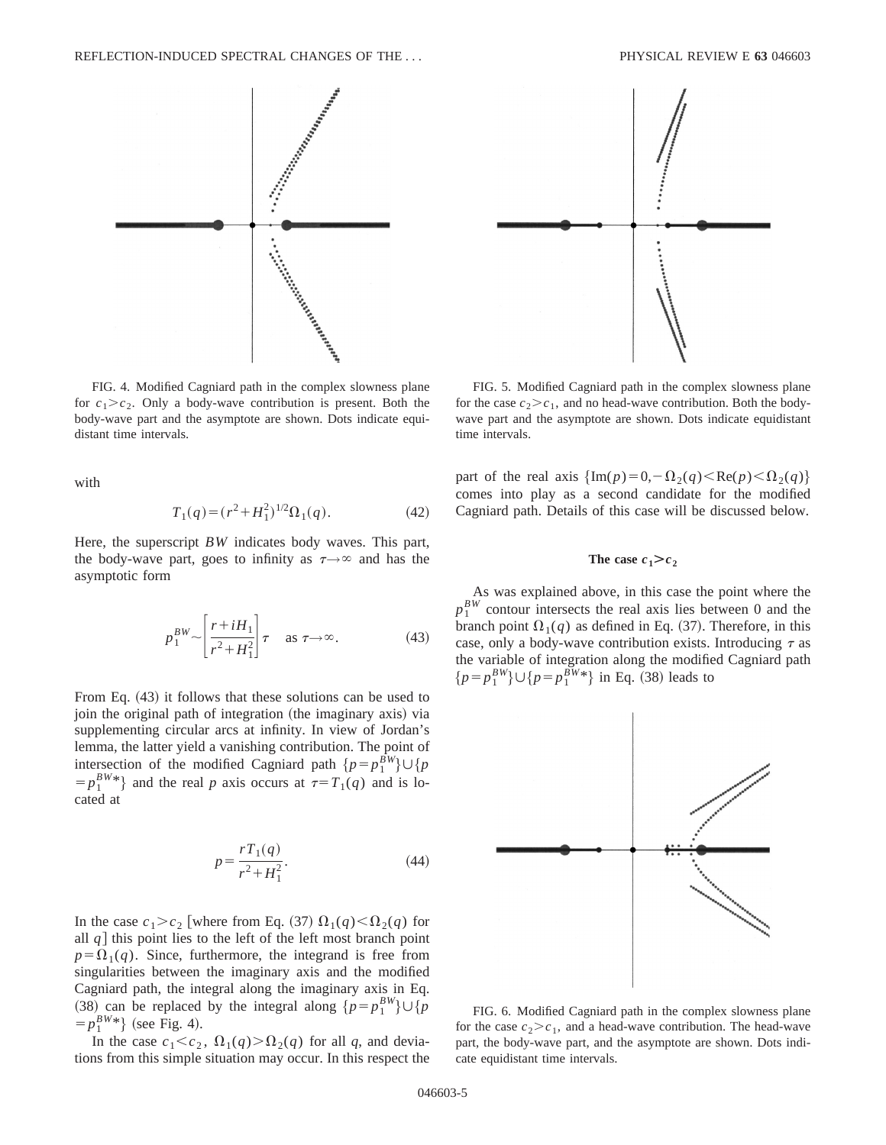

FIG. 4. Modified Cagniard path in the complex slowness plane for  $c_1 > c_2$ . Only a body-wave contribution is present. Both the body-wave part and the asymptote are shown. Dots indicate equidistant time intervals.

with

$$
T_1(q) = (r^2 + H_1^2)^{1/2} \Omega_1(q). \tag{42}
$$

Here, the superscript *BW* indicates body waves. This part, the body-wave part, goes to infinity as  $\tau \rightarrow \infty$  and has the asymptotic form

$$
p_1^{BW} \sim \left[\frac{r + iH_1}{r^2 + H_1^2}\right] \tau \quad \text{as } \tau \to \infty.
$$
 (43)

From Eq.  $(43)$  it follows that these solutions can be used to join the original path of integration (the imaginary axis) via supplementing circular arcs at infinity. In view of Jordan's lemma, the latter yield a vanishing contribution. The point of intersection of the modified Cagniard path  $\{p = p_1^{BW}\} \cup \{p_1^{BW}\}$  $=p_1^{BW*}$  and the real *p* axis occurs at  $\tau = T_1(q)$  and is located at

$$
p = \frac{rT_1(q)}{r^2 + H_1^2}.
$$
\n(44)

In the case  $c_1 > c_2$  [where from Eq. (37)  $\Omega_1(q) < \Omega_2(q)$  for all  $q$  this point lies to the left of the left most branch point  $p=\Omega_1(q)$ . Since, furthermore, the integrand is free from singularities between the imaginary axis and the modified Cagniard path, the integral along the imaginary axis in Eq. (38) can be replaced by the integral along  $\{p = p_1^{BW}\} \cup \{p_1^{BW}\}$  $=p_1^{BW*}$ } (see Fig. 4).

In the case  $c_1 < c_2$ ,  $\Omega_1(q) > \Omega_2(q)$  for all *q*, and deviations from this simple situation may occur. In this respect the



FIG. 5. Modified Cagniard path in the complex slowness plane for the case  $c_2 > c_1$ , and no head-wave contribution. Both the bodywave part and the asymptote are shown. Dots indicate equidistant time intervals.

part of the real axis  $\{\text{Im}(p)=0,-\Omega_2(q)\leq \text{Re}(p)\leq \Omega_2(q)\}\$ comes into play as a second candidate for the modified Cagniard path. Details of this case will be discussed below.

# The case  $c_1 > c_2$

As was explained above, in this case the point where the  $p_1^{BW}$  contour intersects the real axis lies between 0 and the branch point  $\Omega_1(q)$  as defined in Eq. (37). Therefore, in this case, only a body-wave contribution exists. Introducing  $\tau$  as the variable of integration along the modified Cagniard path  $\{p = p_1^{BW}\} \cup \{p = p_1^{BW*}\}\$  in Eq. (38) leads to



FIG. 6. Modified Cagniard path in the complex slowness plane for the case  $c_2 > c_1$ , and a head-wave contribution. The head-wave part, the body-wave part, and the asymptote are shown. Dots indicate equidistant time intervals.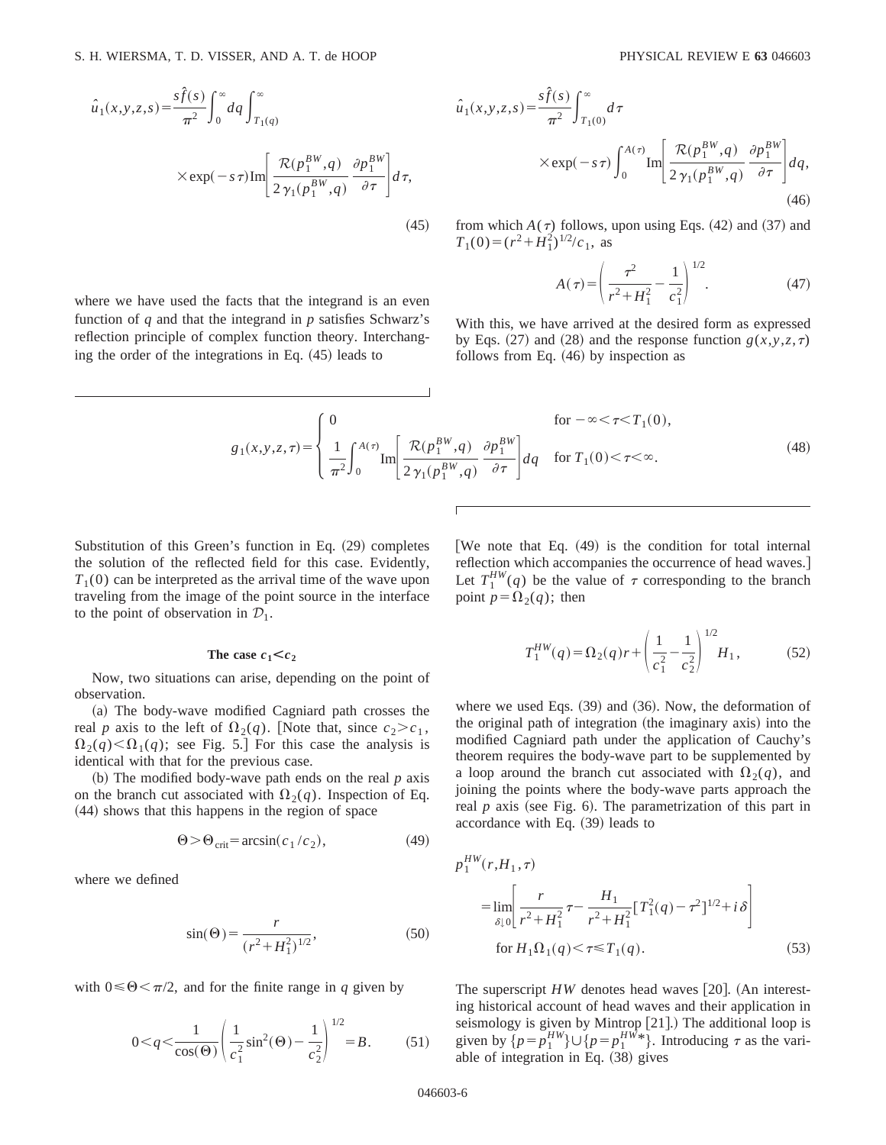$$
\hat{u}_1(x, y, z, s) = \frac{s\hat{f}(s)}{\pi^2} \int_0^\infty dq \int_{T_1(q)}^\infty
$$
\n
$$
\times \exp(-s\tau) \operatorname{Im} \left[ \frac{\mathcal{R}(p_1^{BW}, q)}{2\gamma_1(p_1^{BW}, q)} \frac{\partial p_1^{BW}}{\partial \tau} \right] d\tau,
$$
\n(45)

where we have used the facts that the integrand is an even function of *q* and that the integrand in *p* satisfies Schwarz's reflection principle of complex function theory. Interchanging the order of the integrations in Eq.  $(45)$  leads to

$$
\hat{u}_1(x, y, z, s) = \frac{s\hat{f}(s)}{\pi^2} \int_{T_1(0)}^{\infty} d\tau
$$
\n
$$
\times \exp(-s\tau) \int_0^{A(\tau)} \text{Im}\left[\frac{\mathcal{R}(p_1^{BW}, q)}{2\gamma_1(p_1^{BW}, q)} \frac{\partial p_1^{BW}}{\partial \tau}\right] dq,
$$
\n(46)

from which  $A(\tau)$  follows, upon using Eqs. (42) and (37) and  $T_1(0) = (r^2 + H_1^2)^{1/2}/c_1$ , as

$$
A(\tau) = \left(\frac{\tau^2}{r^2 + H_1^2} - \frac{1}{c_1^2}\right)^{1/2}.\tag{47}
$$

With this, we have arrived at the desired form as expressed by Eqs. (27) and (28) and the response function  $g(x, y, z, \tau)$ follows from Eq.  $(46)$  by inspection as

$$
g_1(x, y, z, \tau) = \begin{cases} 0 & \text{for } -\infty < \tau < T_1(0), \\ \frac{1}{\pi^2} \int_0^{A(\tau)} \text{Im} \left[ \frac{\mathcal{R}(p_1^{BW}, q)}{2 \gamma_1(p_1^{BW}, q)} \frac{\partial p_1^{BW}}{\partial \tau} \right] dq & \text{for } T_1(0) < \tau < \infty. \end{cases}
$$
(48)

Substitution of this Green's function in Eq.  $(29)$  completes the solution of the reflected field for this case. Evidently,  $T_1(0)$  can be interpreted as the arrival time of the wave upon traveling from the image of the point source in the interface to the point of observation in  $\mathcal{D}_1$ .

### The case  $c_1 \leq c_2$

Now, two situations can arise, depending on the point of observation.

(a) The body-wave modified Cagniard path crosses the real *p* axis to the left of  $\Omega_2(q)$ . Note that, since  $c_2 > c_1$ ,  $\Omega_2(q) < \Omega_1(q)$ ; see Fig. 5.] For this case the analysis is identical with that for the previous case.

(b) The modified body-wave path ends on the real  $p$  axis on the branch cut associated with  $\Omega_2(q)$ . Inspection of Eq.  $(44)$  shows that this happens in the region of space

$$
\Theta > \Theta_{\text{crit}} = \arcsin(c_1/c_2),\tag{49}
$$

where we defined

$$
\sin(\Theta) = \frac{r}{(r^2 + H_1^2)^{1/2}},\tag{50}
$$

with  $0 \le \Theta \le \pi/2$ , and for the finite range in *q* given by

$$
0 < q < \frac{1}{\cos(\Theta)} \left( \frac{1}{c_1^2} \sin^2(\Theta) - \frac{1}{c_2^2} \right)^{1/2} = B. \tag{51}
$$

[We note that Eq.  $(49)$  is the condition for total internal reflection which accompanies the occurrence of head waves.] Let  $T_1^{HW}(q)$  be the value of  $\tau$  corresponding to the branch point  $p = \Omega_2(q)$ ; then

$$
T_1^{HW}(q) = \Omega_2(q)r + \left(\frac{1}{c_1^2} - \frac{1}{c_2^2}\right)^{1/2} H_1,
$$
 (52)

where we used Eqs.  $(39)$  and  $(36)$ . Now, the deformation of the original path of integration (the imaginary axis) into the modified Cagniard path under the application of Cauchy's theorem requires the body-wave part to be supplemented by a loop around the branch cut associated with  $\Omega_2(q)$ , and joining the points where the body-wave parts approach the real  $p$  axis (see Fig. 6). The parametrization of this part in accordance with Eq.  $(39)$  leads to

$$
p_1^{HW}(r, H_1, \tau)
$$
  
= 
$$
\lim_{\delta \downarrow 0} \left[ \frac{r}{r^2 + H_1^2} \tau - \frac{H_1}{r^2 + H_1^2} \left[ T_1^2(q) - \tau^2 \right]^{1/2} + i \delta \right]
$$
  
for  $H_1 \Omega_1(q) < \tau \le T_1(q)$ . (53)

The superscript  $HW$  denotes head waves [20]. (An interesting historical account of head waves and their application in seismology is given by Mintrop  $[21]$ .) The additional loop is given by  $\{p = p_1^{HW}\} \cup \{p = p_1^{HW*}\}\$ . Introducing  $\tau$  as the variable of integration in Eq.  $(38)$  gives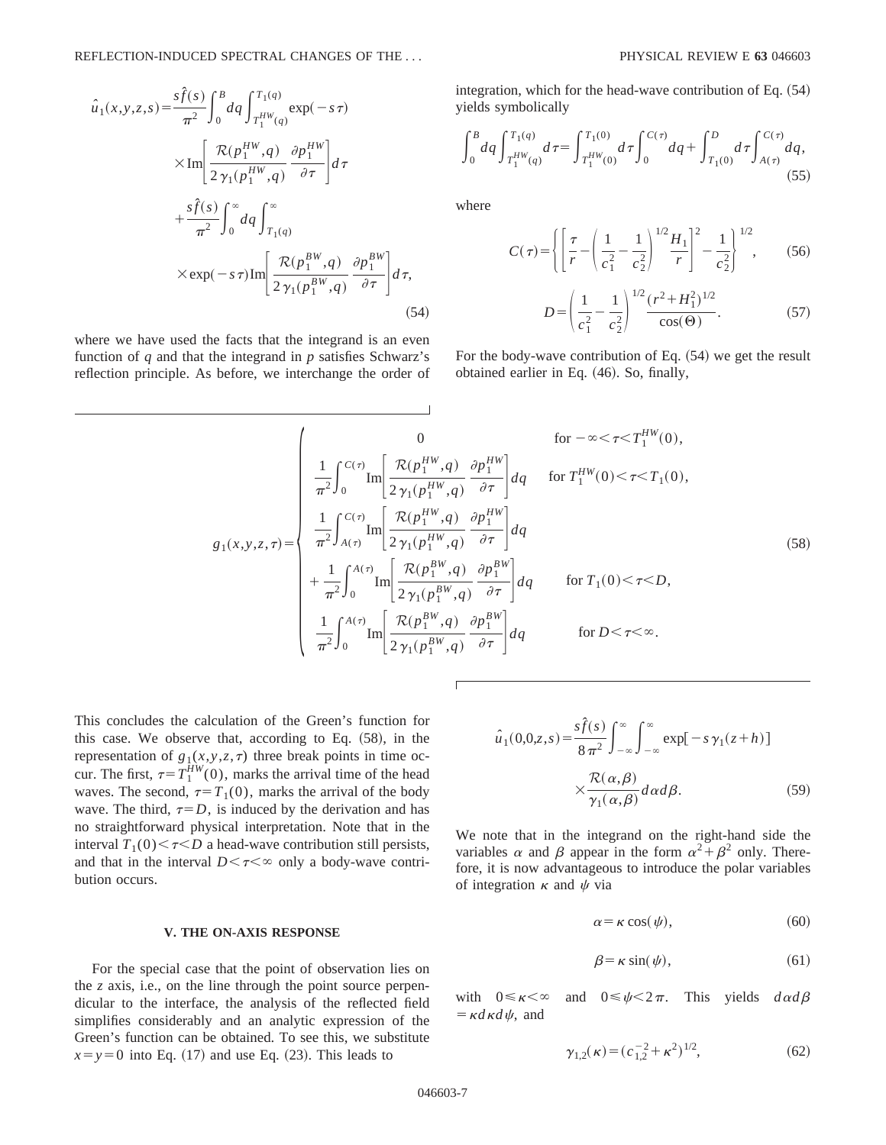$$
\hat{u}_1(x, y, z, s) = \frac{s\hat{f}(s)}{\pi^2} \int_0^B dq \int_{T_1^{HW}(q)}^{T_1(q)} \exp(-s\tau)
$$
\n
$$
\times \text{Im} \left[ \frac{\mathcal{R}(p_1^{HW}, q)}{2\gamma_1(p_1^{HW}, q)} \frac{\partial p_1^{HW}}{\partial \tau} \right] d\tau
$$
\n
$$
+ \frac{s\hat{f}(s)}{\pi^2} \int_0^\infty dq \int_{T_1(q)}^\infty
$$
\n
$$
\times \exp(-s\tau) \text{Im} \left[ \frac{\mathcal{R}(p_1^{BW}, q)}{2\gamma_1(p_1^{BW}, q)} \frac{\partial p_1^{BW}}{\partial \tau} \right] d\tau,
$$
\n(54)

where we have used the facts that the integrand is an even function of *q* and that the integrand in *p* satisfies Schwarz's reflection principle. As before, we interchange the order of integration, which for the head-wave contribution of Eq.  $(54)$ yields symbolically

$$
\int_0^B dq \int_{T_1^{HW}(q)}^{T_1(q)} d\tau = \int_{T_1^{HW}(0)}^{T_1(0)} d\tau \int_0^{C(\tau)} dq + \int_{T_1(0)}^D d\tau \int_{A(\tau)}^{C(\tau)} dq,
$$
\n(55)

where

$$
C(\tau) = \left\{ \left[ \frac{\tau}{r} - \left( \frac{1}{c_1^2} - \frac{1}{c_2^2} \right)^{1/2} \frac{H_1}{r} \right]^2 - \frac{1}{c_2^2} \right\}^{1/2},\qquad(56)
$$

$$
D = \left(\frac{1}{c_1^2} - \frac{1}{c_2^2}\right)^{1/2} \frac{(r^2 + H_1^2)^{1/2}}{\cos(\Theta)}.
$$
 (57)

For the body-wave contribution of Eq.  $(54)$  we get the result obtained earlier in Eq.  $(46)$ . So, finally,

$$
g_{1}(x,y,z,\tau) = \begin{cases} 0 & \text{for } -\infty < \tau < T_{1}^{HW}(0), \\ \frac{1}{\pi^{2}} \int_{0}^{C(\tau)} \text{Im} \left[ \frac{\mathcal{R}(p_{1}^{HW},q)}{2\gamma_{1}(p_{1}^{HW},q)} \frac{\partial p_{1}^{HW}}{\partial \tau} \right] dq & \text{for } T_{1}^{HW}(0) < \tau < T_{1}(0), \\ \frac{1}{\pi^{2}} \int_{A(\tau)}^{C(\tau)} \text{Im} \left[ \frac{\mathcal{R}(p_{1}^{HW},q)}{2\gamma_{1}(p_{1}^{HW},q)} \frac{\partial p_{1}^{HW}}{\partial \tau} \right] dq & \text{for } T_{1}(0) < \tau < D, \\ + \frac{1}{\pi^{2}} \int_{0}^{A(\tau)} \text{Im} \left[ \frac{\mathcal{R}(p_{1}^{BW},q)}{2\gamma_{1}(p_{1}^{BW},q)} \frac{\partial p_{1}^{BW}}{\partial \tau} \right] dq & \text{for } T_{1}(0) < \tau < D, \\ \frac{1}{\pi^{2}} \int_{0}^{A(\tau)} \text{Im} \left[ \frac{\mathcal{R}(p_{1}^{BW},q)}{2\gamma_{1}(p_{1}^{BW},q)} \frac{\partial p_{1}^{BW}}{\partial \tau} \right] dq & \text{for } D < \tau < \infty. \end{cases}
$$

This concludes the calculation of the Green's function for this case. We observe that, according to Eq.  $(58)$ , in the representation of  $g_1(x, y, z, \tau)$  three break points in time occur. The first,  $\tau = T_1^{HW}(0)$ , marks the arrival time of the head waves. The second,  $\tau = T_1(0)$ , marks the arrival of the body wave. The third,  $\tau = D$ , is induced by the derivation and has no straightforward physical interpretation. Note that in the interval  $T_1(0) < \tau < D$  a head-wave contribution still persists, and that in the interval  $D \leq \tau \leq \infty$  only a body-wave contribution occurs.

### **V. THE ON-AXIS RESPONSE**

For the special case that the point of observation lies on the *z* axis, i.e., on the line through the point source perpendicular to the interface, the analysis of the reflected field simplifies considerably and an analytic expression of the Green's function can be obtained. To see this, we substitute  $x = y = 0$  into Eq. (17) and use Eq. (23). This leads to

$$
\hat{u}_1(0,0,z,s) = \frac{s\hat{f}(s)}{8\pi^2} \int_{-\infty}^{\infty} \int_{-\infty}^{\infty} \exp[-s\gamma_1(z+h)]
$$

$$
\times \frac{\mathcal{R}(\alpha,\beta)}{\gamma_1(\alpha,\beta)} d\alpha d\beta. \tag{59}
$$

We note that in the integrand on the right-hand side the variables  $\alpha$  and  $\beta$  appear in the form  $\alpha^2 + \beta^2$  only. Therefore, it is now advantageous to introduce the polar variables of integration  $\kappa$  and  $\psi$  via

$$
\alpha = \kappa \cos(\psi),\tag{60}
$$

$$
\beta = \kappa \sin(\psi),\tag{61}
$$

with  $0 \le \kappa < \infty$  and  $0 \le \psi < 2\pi$ . This yields  $d\alpha d\beta$  $= \kappa d \kappa d \psi$ , and

$$
\gamma_{1,2}(\kappa) = (c_{1,2}^{-2} + \kappa^2)^{1/2},\tag{62}
$$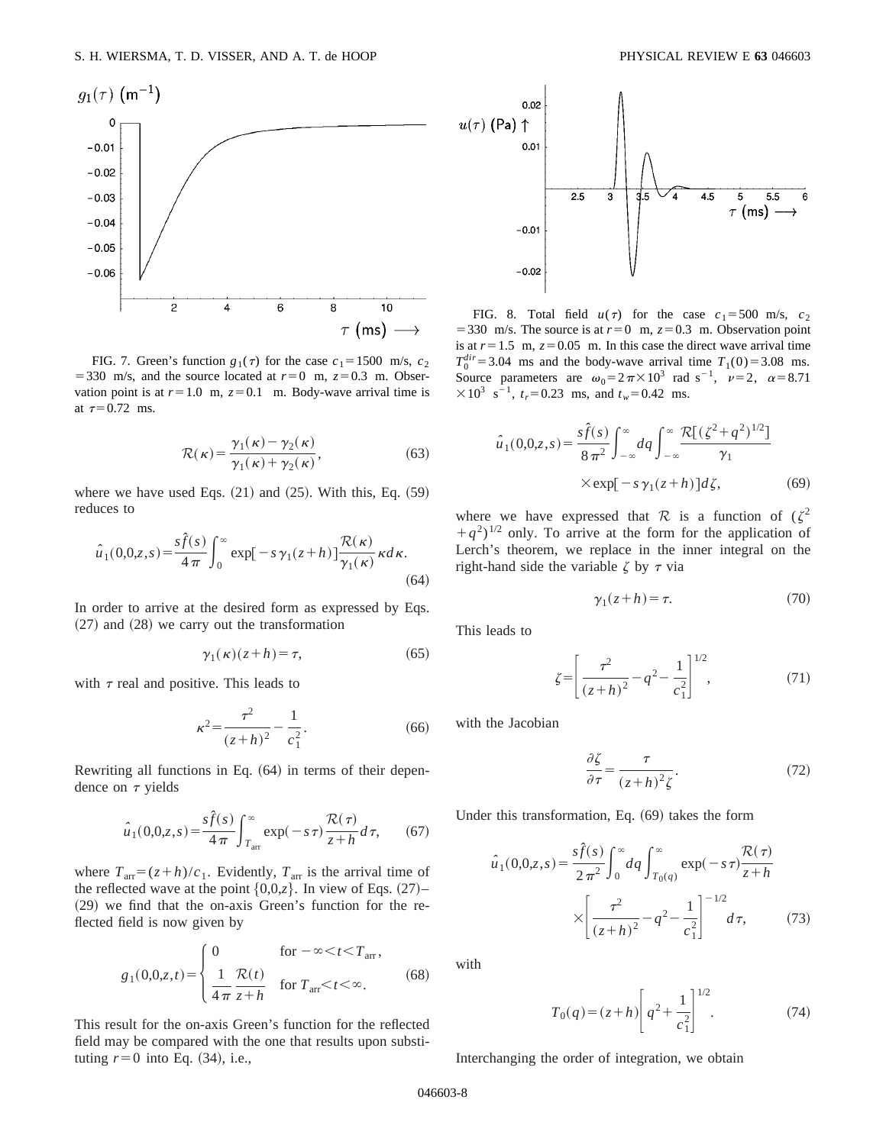

FIG. 7. Green's function  $g_1(\tau)$  for the case  $c_1 = 1500$  m/s,  $c_2$  $=$  330 m/s, and the source located at  $r=0$  m,  $z=0.3$  m. Observation point is at  $r=1.0$  m,  $z=0.1$  m. Body-wave arrival time is at  $\tau=0.72$  ms.

$$
\mathcal{R}(\kappa) = \frac{\gamma_1(\kappa) - \gamma_2(\kappa)}{\gamma_1(\kappa) + \gamma_2(\kappa)},
$$
\n(63)

where we have used Eqs.  $(21)$  and  $(25)$ . With this, Eq.  $(59)$ reduces to

$$
\hat{u}_1(0,0,z,s) = \frac{s\hat{f}(s)}{4\pi} \int_0^\infty \exp[-s\,\gamma_1(z+h)] \frac{\mathcal{R}(\kappa)}{\gamma_1(\kappa)} \,\kappa d\kappa. \tag{64}
$$

In order to arrive at the desired form as expressed by Eqs.  $(27)$  and  $(28)$  we carry out the transformation

$$
\gamma_1(\kappa)(z+h) = \tau,\tag{65}
$$

with  $\tau$  real and positive. This leads to

$$
\kappa^2 = \frac{\tau^2}{(z+h)^2} - \frac{1}{c_1^2}.
$$
\n(66)

Rewriting all functions in Eq.  $(64)$  in terms of their dependence on  $\tau$  yields

$$
\hat{u}_1(0,0,z,s) = \frac{s\hat{f}(s)}{4\pi} \int_{T_{\text{arr}}}^{\infty} \exp(-s\tau) \frac{\mathcal{R}(\tau)}{z+h} d\tau, \qquad (67)
$$

where  $T_{\text{arr}} = (z + h)/c_1$ . Evidently,  $T_{\text{arr}}$  is the arrival time of the reflected wave at the point  $\{0,0,z\}$ . In view of Eqs.  $(27)$ –  $(29)$  we find that the on-axis Green's function for the reflected field is now given by

$$
g_1(0,0,z,t) = \begin{cases} 0 & \text{for } -\infty < t < T_{\text{arr}}, \\ \frac{1}{4\pi} \frac{\mathcal{R}(t)}{z+h} & \text{for } T_{\text{arr}} < t < \infty. \end{cases}
$$
(68)

This result for the on-axis Green's function for the reflected field may be compared with the one that results upon substituting  $r=0$  into Eq.  $(34)$ , i.e.,



FIG. 8. Total field  $u(\tau)$  for the case  $c_1 = 500$  m/s,  $c_2$ = 330 m/s. The source is at  $r=0$  m,  $z=0.3$  m. Observation point is at  $r=1.5$  m,  $z=0.05$  m. In this case the direct wave arrival time  $T_0^{dir}$  = 3.04 ms and the body-wave arrival time  $T_1(0)$  = 3.08 ms. Source parameters are  $\omega_0 = 2\pi \times 10^3$  rad s<sup>-1</sup>,  $\nu = 2$ ,  $\alpha = 8.71$  $\times 10^3$  s<sup>-1</sup>,  $t_r$ =0.23 ms, and  $t_w$ =0.42 ms.

$$
\hat{u}_1(0,0,z,s) = \frac{s\hat{f}(s)}{8\pi^2} \int_{-\infty}^{\infty} dq \int_{-\infty}^{\infty} \frac{\mathcal{R}[(\zeta^2 + q^2)^{1/2}]}{\gamma_1} \times \exp[-s\gamma_1(z+h)]d\zeta,
$$
 (69)

where we have expressed that  $\mathcal R$  is a function of  $(\zeta^2)$  $(q^{2})^{1/2}$  only. To arrive at the form for the application of Lerch's theorem, we replace in the inner integral on the right-hand side the variable  $\zeta$  by  $\tau$  via

$$
\gamma_1(z+h) = \tau. \tag{70}
$$

This leads to

$$
\zeta = \left[ \frac{\tau^2}{(z+h)^2} - q^2 - \frac{1}{c_1^2} \right]^{1/2},\tag{71}
$$

with the Jacobian

$$
\frac{\partial \zeta}{\partial \tau} = \frac{\tau}{(z+h)^2 \zeta}.
$$
 (72)

Under this transformation, Eq.  $(69)$  takes the form

$$
\hat{u}_1(0,0,z,s) = \frac{s\hat{f}(s)}{2\pi^2} \int_0^\infty dq \int_{T_0(q)}^\infty \exp(-s\tau) \frac{\mathcal{R}(\tau)}{z+h}
$$

$$
\times \left[ \frac{\tau^2}{(z+h)^2} - q^2 - \frac{1}{c_1^2} \right]^{-1/2} d\tau, \tag{73}
$$

with

$$
T_0(q) = (z+h) \left[ q^2 + \frac{1}{c_1^2} \right]^{1/2}.
$$
 (74)

Interchanging the order of integration, we obtain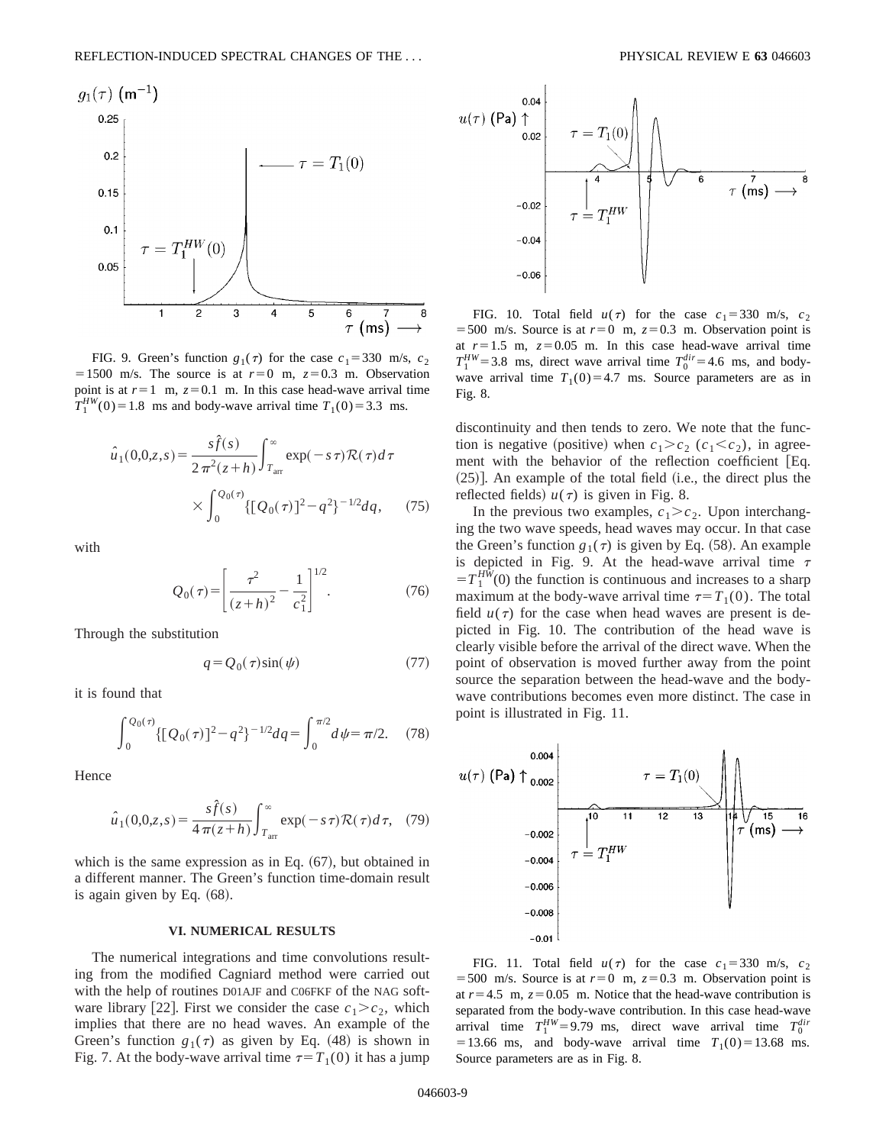

FIG. 9. Green's function  $g_1(\tau)$  for the case  $c_1 = 330$  m/s,  $c_2$  $= 1500$  m/s. The source is at  $r=0$  m,  $z=0.3$  m. Observation point is at  $r=1$  m,  $z=0.1$  m. In this case head-wave arrival time  $T_1^{HW}(0) = 1.8$  ms and body-wave arrival time  $T_1(0) = 3.3$  ms.

$$
\hat{u}_1(0,0,z,s) = \frac{s\hat{f}(s)}{2\pi^2(z+h)} \int_{T_{\text{arr}}}^{\infty} \exp(-s\,\tau) \mathcal{R}(\tau) d\tau
$$

$$
\times \int_0^{Q_0(\tau)} \{ [Q_0(\tau)]^2 - q^2 \}^{-1/2} dq, \qquad (75)
$$

with

$$
Q_0(\tau) = \left[\frac{\tau^2}{(z+h)^2} - \frac{1}{c_1^2}\right]^{1/2}.\tag{76}
$$

Through the substitution

$$
q = Q_0(\tau)\sin(\psi) \tag{77}
$$

it is found that

$$
\int_0^{Q_0(\tau)} \{ [Q_0(\tau)]^2 - q^2 \}^{-1/2} dq = \int_0^{\pi/2} d\psi = \pi/2. \quad (78)
$$

Hence

$$
\hat{u}_1(0,0,z,s) = \frac{s\hat{f}(s)}{4\pi(z+h)} \int_{T_{\text{arr}}}^{\infty} \exp(-s\,\tau)\mathcal{R}(\tau)d\,\tau,\quad(79)
$$

which is the same expression as in Eq.  $(67)$ , but obtained in a different manner. The Green's function time-domain result is again given by Eq.  $(68)$ .

### **VI. NUMERICAL RESULTS**

The numerical integrations and time convolutions resulting from the modified Cagniard method were carried out with the help of routines D01AJF and C06FKF of the NAG software library [22]. First we consider the case  $c_1 > c_2$ , which implies that there are no head waves. An example of the Green's function  $g_1(\tau)$  as given by Eq. (48) is shown in Fig. 7. At the body-wave arrival time  $\tau = T_1(0)$  it has a jump



FIG. 10. Total field  $u(\tau)$  for the case  $c_1 = 330$  m/s,  $c_2$  $=$  500 m/s. Source is at  $r=0$  m,  $z=0.3$  m. Observation point is at  $r=1.5$  m,  $z=0.05$  m. In this case head-wave arrival time  $T_1^{HW}$ = 3.8 ms, direct wave arrival time  $T_0^{dir}$ = 4.6 ms, and bodywave arrival time  $T_1(0)=4.7$  ms. Source parameters are as in Fig. 8.

discontinuity and then tends to zero. We note that the function is negative (positive) when  $c_1 > c_2$  ( $c_1 < c_2$ ), in agreement with the behavior of the reflection coefficient [Eq.  $(25)$ ]. An example of the total field  $(i.e.,$  the direct plus the reflected fields)  $u(\tau)$  is given in Fig. 8.

In the previous two examples,  $c_1 > c_2$ . Upon interchanging the two wave speeds, head waves may occur. In that case the Green's function  $g_1(\tau)$  is given by Eq. (58). An example is depicted in Fig. 9. At the head-wave arrival time  $\tau$  $=T_1^{H\bar{W}}(0)$  the function is continuous and increases to a sharp maximum at the body-wave arrival time  $\tau = T_1(0)$ . The total field  $u(\tau)$  for the case when head waves are present is depicted in Fig. 10. The contribution of the head wave is clearly visible before the arrival of the direct wave. When the point of observation is moved further away from the point source the separation between the head-wave and the bodywave contributions becomes even more distinct. The case in point is illustrated in Fig. 11.



FIG. 11. Total field  $u(\tau)$  for the case  $c_1 = 330$  m/s,  $c_2$  $=$  500 m/s. Source is at  $r=0$  m,  $z=0.3$  m. Observation point is at  $r=4.5$  m,  $z=0.05$  m. Notice that the head-wave contribution is separated from the body-wave contribution. In this case head-wave arrival time  $T_1^{HW}$ =9.79 ms, direct wave arrival time  $T_0^{dir}$ = 13.66 ms, and body-wave arrival time  $T_1(0) = 13.68$  ms. Source parameters are as in Fig. 8.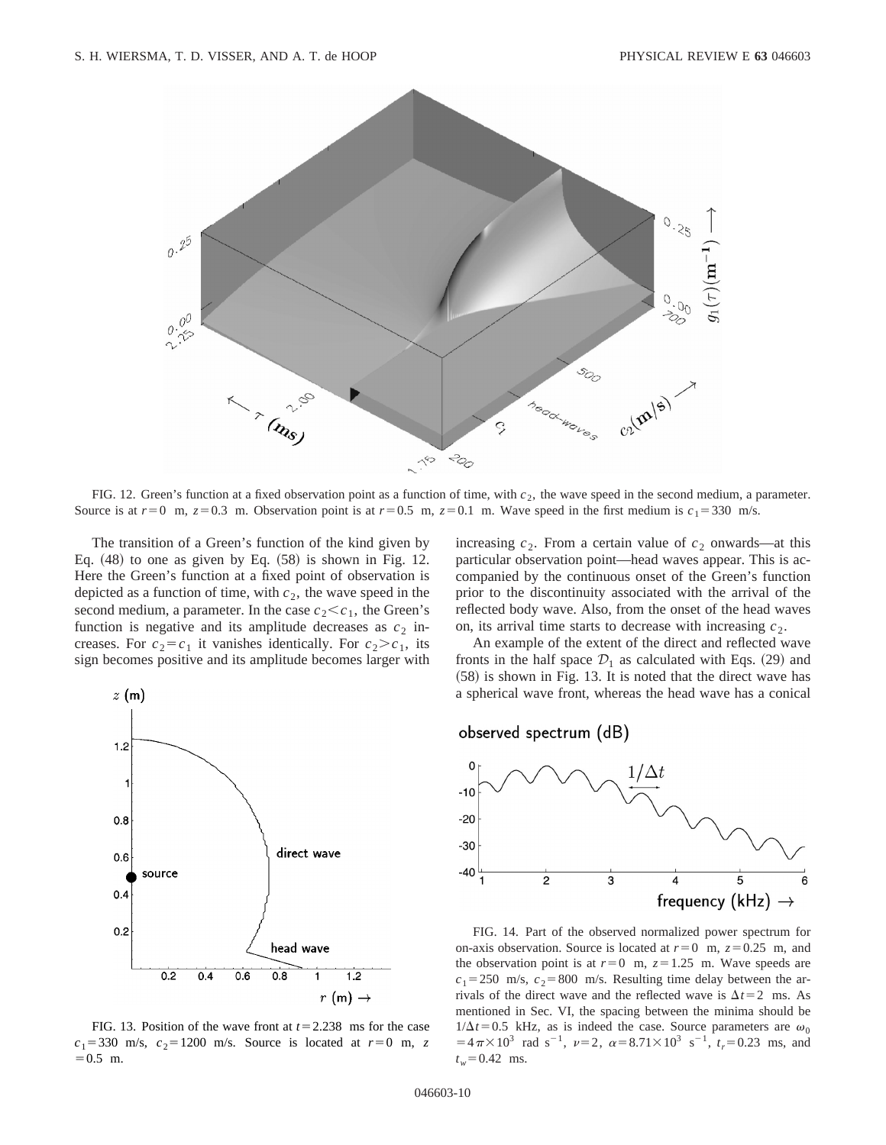

FIG. 12. Green's function at a fixed observation point as a function of time, with  $c<sub>2</sub>$ , the wave speed in the second medium, a parameter. Source is at  $r=0$  m,  $z=0.3$  m. Observation point is at  $r=0.5$  m,  $z=0.1$  m. Wave speed in the first medium is  $c_1=330$  m/s.

The transition of a Green's function of the kind given by Eq.  $(48)$  to one as given by Eq.  $(58)$  is shown in Fig. 12. Here the Green's function at a fixed point of observation is depicted as a function of time, with  $c<sub>2</sub>$ , the wave speed in the second medium, a parameter. In the case  $c_2 \leq c_1$ , the Green's function is negative and its amplitude decreases as  $c_2$  increases. For  $c_2 = c_1$  it vanishes identically. For  $c_2 > c_1$ , its sign becomes positive and its amplitude becomes larger with



FIG. 13. Position of the wave front at  $t=2.238$  ms for the case  $c_1$ =330 m/s,  $c_2$ =1200 m/s. Source is located at  $r=0$  m, *z*  $=0.5$  m.

increasing  $c_2$ . From a certain value of  $c_2$  onwards—at this particular observation point—head waves appear. This is accompanied by the continuous onset of the Green's function prior to the discontinuity associated with the arrival of the reflected body wave. Also, from the onset of the head waves on, its arrival time starts to decrease with increasing  $c_2$ .

An example of the extent of the direct and reflected wave fronts in the half space  $\mathcal{D}_1$  as calculated with Eqs. (29) and  $(58)$  is shown in Fig. 13. It is noted that the direct wave has a spherical wave front, whereas the head wave has a conical

## observed spectrum (dB)



FIG. 14. Part of the observed normalized power spectrum for on-axis observation. Source is located at  $r=0$  m,  $z=0.25$  m, and the observation point is at  $r=0$  m,  $z=1.25$  m. Wave speeds are  $c_1$ =250 m/s,  $c_2$ =800 m/s. Resulting time delay between the arrivals of the direct wave and the reflected wave is  $\Delta t = 2$  ms. As mentioned in Sec. VI, the spacing between the minima should be  $1/\Delta t$ =0.5 kHz, as is indeed the case. Source parameters are  $\omega_0$  $=4\pi \times 10^3$  rad s<sup>-1</sup>,  $\nu = 2$ ,  $\alpha = 8.71 \times 10^3$  s<sup>-1</sup>,  $t_r = 0.23$  ms, and  $t_w$ =0.42 ms.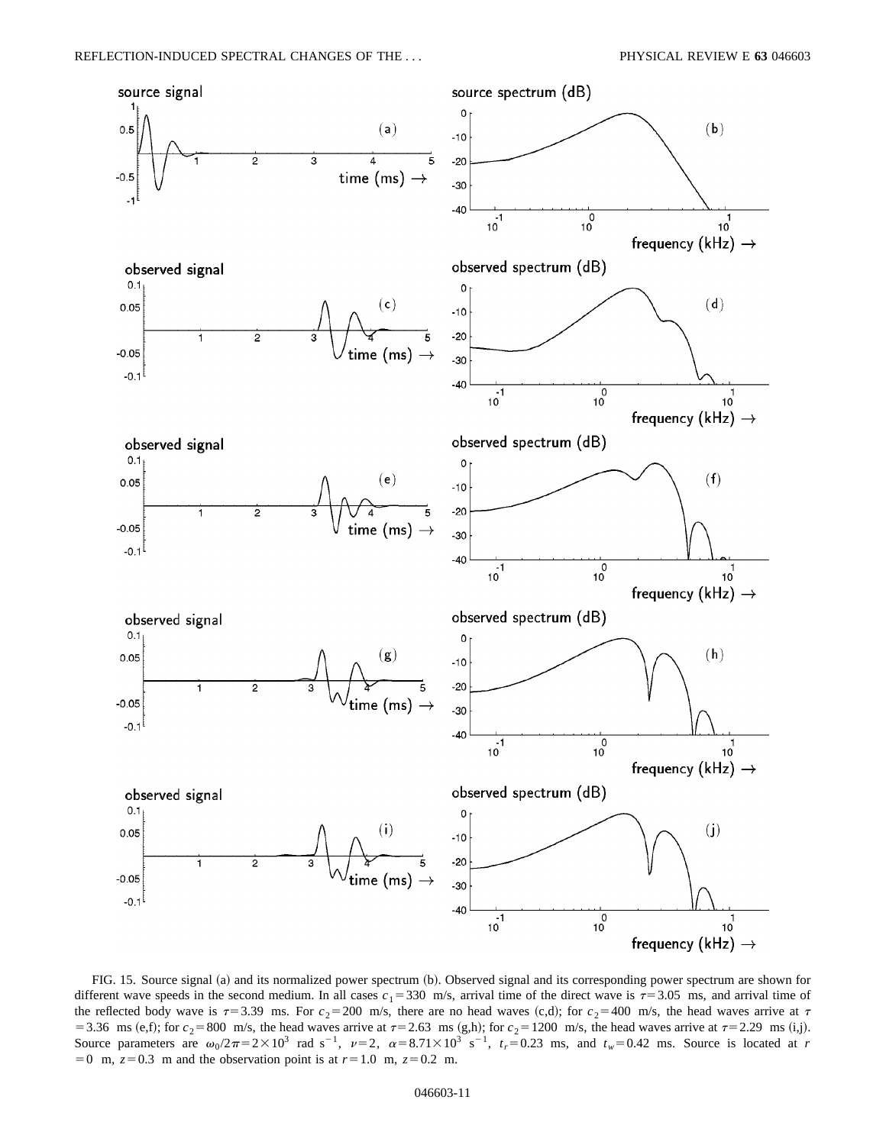

FIG. 15. Source signal (a) and its normalized power spectrum (b). Observed signal and its corresponding power spectrum are shown for different wave speeds in the second medium. In all cases  $c_1 = 330$  m/s, arrival time of the direct wave is  $\tau = 3.05$  ms, and arrival time of the reflected body wave is  $\tau$ =3.39 ms. For  $c_2$ =200 m/s, there are no head waves (c,d); for  $c_2$ =400 m/s, the head waves arrive at  $\tau$ = 3.36 ms (e,f); for  $c_2$ =800 m/s, the head waves arrive at  $\tau$  = 2.63 ms (g,h); for  $c_2$ =1200 m/s, the head waves arrive at  $\tau$ =2.29 ms (i,j). Source parameters are  $\omega_0/2\pi = 2 \times 10^3$  rad s<sup>-1</sup>,  $\nu = 2$ ,  $\alpha = 8.71 \times 10^3$  s<sup>-1</sup>,  $t_r = 0.23$  ms, and  $t_w = 0.42$  ms. Source is located at *r*  $=0$  m,  $z=0.3$  m and the observation point is at  $r=1.0$  m,  $z=0.2$  m.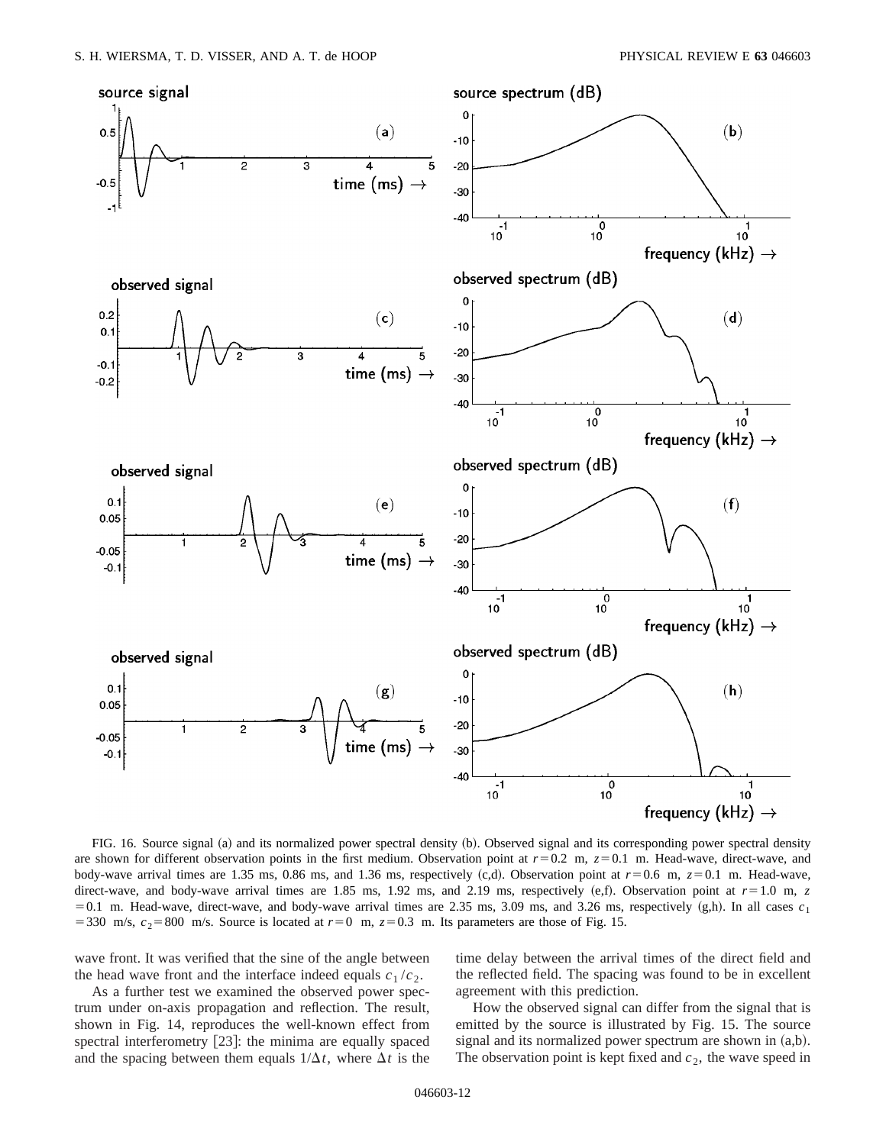

FIG. 16. Source signal (a) and its normalized power spectral density (b). Observed signal and its corresponding power spectral density are shown for different observation points in the first medium. Observation point at  $r=0.2$  m,  $z=0.1$  m. Head-wave, direct-wave, and body-wave arrival times are 1.35 ms, 0.86 ms, and 1.36 ms, respectively  $(c,d)$ . Observation point at  $r=0.6$  m,  $z=0.1$  m. Head-wave, direct-wave, and body-wave arrival times are 1.85 ms, 1.92 ms, and 2.19 ms, respectively  $(e, f)$ . Observation point at  $r = 1.0$  m, *z*  $=0.1$  m. Head-wave, direct-wave, and body-wave arrival times are 2.35 ms, 3.09 ms, and 3.26 ms, respectively  $(g,h)$ . In all cases  $c<sub>1</sub>$ = 330 m/s,  $c_2$ = 800 m/s. Source is located at  $r=0$  m,  $z=0.3$  m. Its parameters are those of Fig. 15.

wave front. It was verified that the sine of the angle between the head wave front and the interface indeed equals  $c_1/c_2$ .

As a further test we examined the observed power spectrum under on-axis propagation and reflection. The result, shown in Fig. 14, reproduces the well-known effect from spectral interferometry  $[23]$ : the minima are equally spaced and the spacing between them equals  $1/\Delta t$ , where  $\Delta t$  is the time delay between the arrival times of the direct field and the reflected field. The spacing was found to be in excellent agreement with this prediction.

How the observed signal can differ from the signal that is emitted by the source is illustrated by Fig. 15. The source signal and its normalized power spectrum are shown in  $(a,b)$ . The observation point is kept fixed and  $c<sub>2</sub>$ , the wave speed in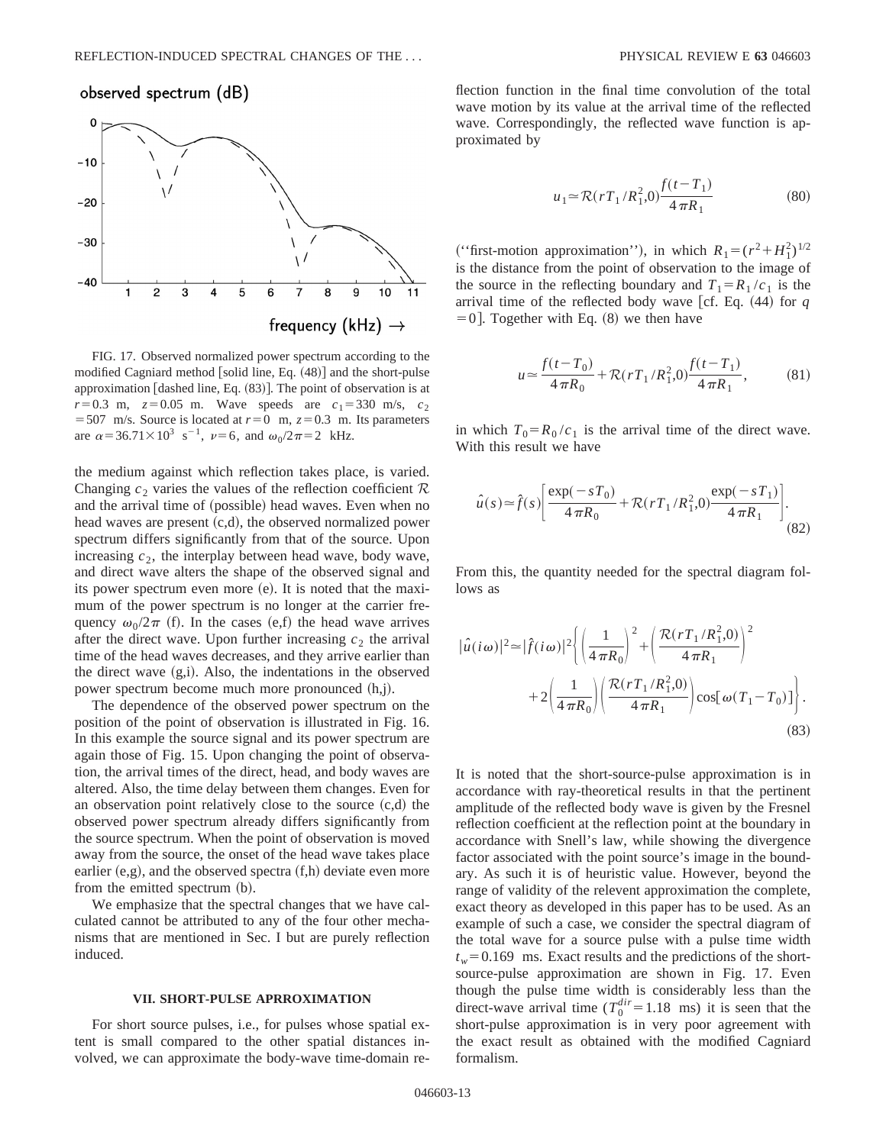# observed spectrum (dB)



FIG. 17. Observed normalized power spectrum according to the modified Cagniard method [solid line, Eq.  $(48)$ ] and the short-pulse approximation [dashed line, Eq.  $(83)$ ]. The point of observation is at  $r=0.3$  m,  $z=0.05$  m. Wave speeds are  $c_1=330$  m/s,  $c_2$  $=$  507 m/s. Source is located at  $r=0$  m,  $z=0.3$  m. Its parameters are  $\alpha = 36.71 \times 10^3 \text{ s}^{-1}$ ,  $\nu = 6$ , and  $\omega_0/2\pi = 2 \text{ kHz}$ .

the medium against which reflection takes place, is varied. Changing  $c_2$  varies the values of the reflection coefficient  $R$ and the arrival time of (possible) head waves. Even when no head waves are present  $(c,d)$ , the observed normalized power spectrum differs significantly from that of the source. Upon increasing  $c_2$ , the interplay between head wave, body wave, and direct wave alters the shape of the observed signal and its power spectrum even more  $(e)$ . It is noted that the maximum of the power spectrum is no longer at the carrier frequency  $\omega_0/2\pi$  (f). In the cases (e,f) the head wave arrives after the direct wave. Upon further increasing  $c_2$  the arrival time of the head waves decreases, and they arrive earlier than the direct wave  $(g,i)$ . Also, the indentations in the observed power spectrum become much more pronounced  $(h,j)$ .

The dependence of the observed power spectrum on the position of the point of observation is illustrated in Fig. 16. In this example the source signal and its power spectrum are again those of Fig. 15. Upon changing the point of observation, the arrival times of the direct, head, and body waves are altered. Also, the time delay between them changes. Even for an observation point relatively close to the source  $(c,d)$  the observed power spectrum already differs significantly from the source spectrum. When the point of observation is moved away from the source, the onset of the head wave takes place earlier  $(e,g)$ , and the observed spectra  $(f,h)$  deviate even more from the emitted spectrum (b).

We emphasize that the spectral changes that we have calculated cannot be attributed to any of the four other mechanisms that are mentioned in Sec. I but are purely reflection induced.

#### **VII. SHORT-PULSE APRROXIMATION**

For short source pulses, i.e., for pulses whose spatial extent is small compared to the other spatial distances involved, we can approximate the body-wave time-domain reflection function in the final time convolution of the total wave motion by its value at the arrival time of the reflected wave. Correspondingly, the reflected wave function is approximated by

$$
u_1 \approx \mathcal{R}(rT_1/R_1^2,0)\frac{f(t-T_1)}{4\pi R_1}
$$
 (80)

("first-motion approximation"), in which  $R_1 = (r^2 + H_1^2)^{1/2}$ is the distance from the point of observation to the image of the source in the reflecting boundary and  $T_1 = R_1 / c_1$  is the arrival time of the reflected body wave [cf. Eq.  $(44)$  for *q*  $=0$ ]. Together with Eq.  $(8)$  we then have

$$
u \approx \frac{f(t - T_0)}{4\pi R_0} + \mathcal{R}(rT_1/R_1^2, 0) \frac{f(t - T_1)}{4\pi R_1},
$$
 (81)

in which  $T_0 = R_0 / c_1$  is the arrival time of the direct wave. With this result we have

$$
\hat{u}(s) \approx \hat{f}(s) \left[ \frac{\exp(-sT_0)}{4\pi R_0} + \mathcal{R}(rT_1/R_1^2, 0) \frac{\exp(-sT_1)}{4\pi R_1} \right].
$$
\n(82)

From this, the quantity needed for the spectral diagram follows as

$$
|\hat{u}(i\omega)|^2 \approx |\hat{f}(i\omega)|^2 \left\{ \left( \frac{1}{4\pi R_0} \right)^2 + \left( \frac{\mathcal{R}(rT_1/R_1^2,0)}{4\pi R_1} \right)^2 + 2 \left( \frac{1}{4\pi R_0} \right) \left( \frac{\mathcal{R}(rT_1/R_1^2,0)}{4\pi R_1} \right) \cos[\omega(T_1 - T_0)] \right\}.
$$
\n(83)

It is noted that the short-source-pulse approximation is in accordance with ray-theoretical results in that the pertinent amplitude of the reflected body wave is given by the Fresnel reflection coefficient at the reflection point at the boundary in accordance with Snell's law, while showing the divergence factor associated with the point source's image in the boundary. As such it is of heuristic value. However, beyond the range of validity of the relevent approximation the complete, exact theory as developed in this paper has to be used. As an example of such a case, we consider the spectral diagram of the total wave for a source pulse with a pulse time width  $t_w$ =0.169 ms. Exact results and the predictions of the shortsource-pulse approximation are shown in Fig. 17. Even though the pulse time width is considerably less than the direct-wave arrival time  $(T_0^{dir}=1.18$  ms) it is seen that the short-pulse approximation is in very poor agreement with the exact result as obtained with the modified Cagniard formalism.